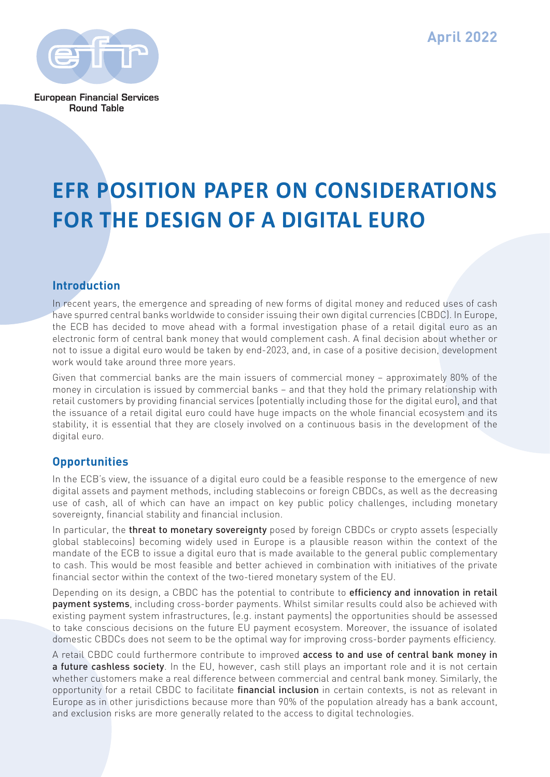**April 2022**



**European Financial Services Round Table** 

# **EFR POSITION PAPER ON CONSIDERATIONS FOR THE DESIGN OF A DIGITAL EURO**

## **Introduction**

In recent years, the emergence and spreading of new forms of digital money and reduced uses of cash have spurred central banks worldwide to consider issuing their own digital currencies (CBDC). In Europe, the ECB has decided to move ahead with a formal investigation phase of a retail digital euro as an electronic form of central bank money that would complement cash. A final decision about whether or not to issue a digital euro would be taken by end-2023, and, in case of a positive decision, development work would take around three more years.

Given that commercial banks are the main issuers of commercial money – approximately 80% of the money in circulation is issued by commercial banks – and that they hold the primary relationship with retail customers by providing financial services (potentially including those for the digital euro), and that the issuance of a retail digital euro could have huge impacts on the whole financial ecosystem and its stability, it is essential that they are closely involved on a continuous basis in the development of the digital euro.

## **Opportunities**

In the ECB's view, the issuance of a digital euro could be a feasible response to the emergence of new digital assets and payment methods, including stablecoins or foreign CBDCs, as well as the decreasing use of cash, all of which can have an impact on key public policy challenges, including monetary sovereignty, financial stability and financial inclusion.

In particular, the threat to monetary sovereignty posed by foreign CBDCs or crypto assets (especially global stablecoins) becoming widely used in Europe is a plausible reason within the context of the mandate of the ECB to issue a digital euro that is made available to the general public complementary to cash. This would be most feasible and better achieved in combination with initiatives of the private financial sector within the context of the two-tiered monetary system of the EU.

Depending on its design, a CBDC has the potential to contribute to **efficiency and innovation in retail** payment systems, including cross-border payments. Whilst similar results could also be achieved with existing payment system infrastructures, (e.g. instant payments) the opportunities should be assessed to take conscious decisions on the future EU payment ecosystem. Moreover, the issuance of isolated domestic CBDCs does not seem to be the optimal way for improving cross-border payments efficiency.

A retail CBDC could furthermore contribute to improved access to and use of central bank money in a future cashless society. In the EU, however, cash still plays an important role and it is not certain whether customers make a real difference between commercial and central bank money. Similarly, the opportunity for a retail CBDC to facilitate *financial inclusion* in certain contexts, is not as relevant in Europe as in other jurisdictions because more than 90% of the population already has a bank account, and exclusion risks are more generally related to the access to digital technologies.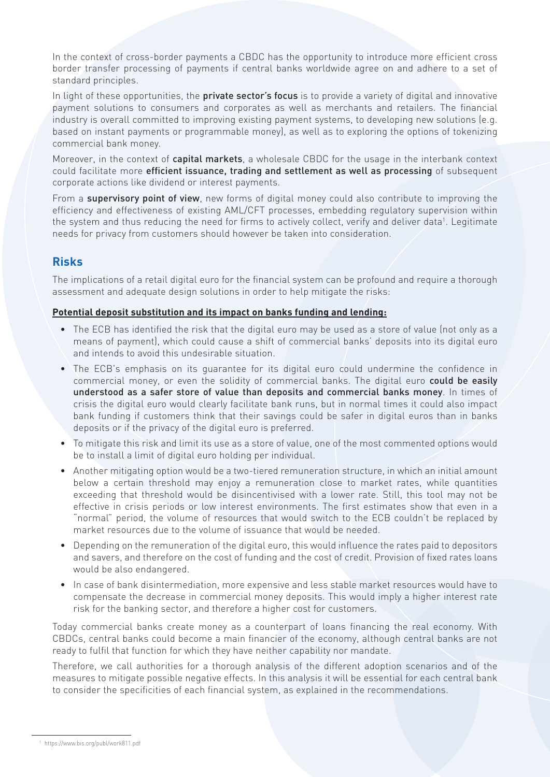In the context of cross-border payments a CBDC has the opportunity to introduce more efficient cross border transfer processing of payments if central banks worldwide agree on and adhere to a set of standard principles.

In light of these opportunities, the **private sector's focus** is to provide a variety of digital and innovative payment solutions to consumers and corporates as well as merchants and retailers. The financial industry is overall committed to improving existing payment systems, to developing new solutions (e.g. based on instant payments or programmable money), as well as to exploring the options of tokenizing commercial bank money.

Moreover, in the context of capital markets, a wholesale CBDC for the usage in the interbank context could facilitate more efficient issuance, trading and settlement as well as processing of subsequent corporate actions like dividend or interest payments.

From a supervisory point of view, new forms of digital money could also contribute to improving the efficiency and effectiveness of existing AML/CFT processes, embedding regulatory supervision within the system and thus reducing the need for firms to actively collect, verify and deliver data<sup>1</sup>. Legitimate needs for privacy from customers should however be taken into consideration.

## **Risks**

The implications of a retail digital euro for the financial system can be profound and require a thorough assessment and adequate design solutions in order to help mitigate the risks:

### **Potential deposit substitution and its impact on banks funding and lending:**

- The ECB has identified the risk that the digital euro may be used as a store of value (not only as a means of payment), which could cause a shift of commercial banks' deposits into its digital euro and intends to avoid this undesirable situation.
- The ECB's emphasis on its guarantee for its digital euro could undermine the confidence in commercial money, or even the solidity of commercial banks. The digital euro **could be easily** understood as a safer store of value than deposits and commercial banks money. In times of crisis the digital euro would clearly facilitate bank runs, but in normal times it could also impact bank funding if customers think that their savings could be safer in digital euros than in banks deposits or if the privacy of the digital euro is preferred.
- To mitigate this risk and limit its use as a store of value, one of the most commented options would be to install a limit of digital euro holding per individual.
- Another mitigating option would be a two-tiered remuneration structure, in which an initial amount below a certain threshold may enjoy a remuneration close to market rates, while quantities exceeding that threshold would be disincentivised with a lower rate. Still, this tool may not be effective in crisis periods or low interest environments. The first estimates show that even in a "normal" period, the volume of resources that would switch to the ECB couldn't be replaced by market resources due to the volume of issuance that would be needed.
- Depending on the remuneration of the digital euro, this would influence the rates paid to depositors and savers, and therefore on the cost of funding and the cost of credit. Provision of fixed rates loans would be also endangered.
- In case of bank disintermediation, more expensive and less stable market resources would have to compensate the decrease in commercial money deposits. This would imply a higher interest rate risk for the banking sector, and therefore a higher cost for customers.

Today commercial banks create money as a counterpart of loans financing the real economy. With CBDCs, central banks could become a main financier of the economy, although central banks are not ready to fulfil that function for which they have neither capability nor mandate.

Therefore, we call authorities for a thorough analysis of the different adoption scenarios and of the measures to mitigate possible negative effects. In this analysis it will be essential for each central bank to consider the specificities of each financial system, as explained in the recommendations.

<sup>1</sup> https://www.bis.org/publ/work811.pdf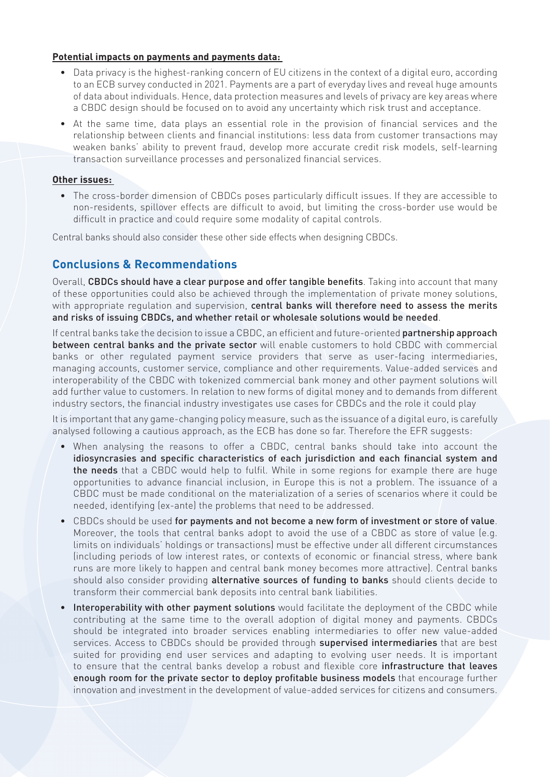#### **Potential impacts on payments and payments data:**

- Data privacy is the highest-ranking concern of EU citizens in the context of a digital euro, according to an ECB survey conducted in 2021. Payments are a part of everyday lives and reveal huge amounts of data about individuals. Hence, data protection measures and levels of privacy are key areas where a CBDC design should be focused on to avoid any uncertainty which risk trust and acceptance.
- At the same time, data plays an essential role in the provision of financial services and the relationship between clients and financial institutions: less data from customer transactions may weaken banks' ability to prevent fraud, develop more accurate credit risk models, self-learning transaction surveillance processes and personalized financial services.

#### **Other issues:**

• The cross-border dimension of CBDCs poses particularly difficult issues. If they are accessible to non-residents, spillover effects are difficult to avoid, but limiting the cross-border use would be difficult in practice and could require some modality of capital controls.

Central banks should also consider these other side effects when designing CBDCs.

## **Conclusions & Recommendations**

Overall, CBDCs should have a clear purpose and offer tangible benefits. Taking into account that many of these opportunities could also be achieved through the implementation of private money solutions, with appropriate regulation and supervision, central banks will therefore need to assess the merits and risks of issuing CBDCs, and whether retail or wholesale solutions would be needed.

If central banks take the decision to issue a CBDC, an efficient and future-oriented **partnership approach** between central banks and the private sector will enable customers to hold CBDC with commercial banks or other regulated payment service providers that serve as user-facing intermediaries, managing accounts, customer service, compliance and other requirements. Value-added services and interoperability of the CBDC with tokenized commercial bank money and other payment solutions will add further value to customers. In relation to new forms of digital money and to demands from different industry sectors, the financial industry investigates use cases for CBDCs and the role it could play

It is important that any game-changing policy measure, such as the issuance of a digital euro, is carefully analysed following a cautious approach, as the ECB has done so far. Therefore the EFR suggests:

- When analysing the reasons to offer a CBDC, central banks should take into account the idiosyncrasies and specific characteristics of each jurisdiction and each financial system and the needs that a CBDC would help to fulfil. While in some regions for example there are huge opportunities to advance financial inclusion, in Europe this is not a problem. The issuance of a CBDC must be made conditional on the materialization of a series of scenarios where it could be needed, identifying (ex-ante) the problems that need to be addressed.
- CBDCs should be used for payments and not become a new form of investment or store of value. Moreover, the tools that central banks adopt to avoid the use of a CBDC as store of value (e.g. limits on individuals' holdings or transactions) must be effective under all different circumstances (including periods of low interest rates, or contexts of economic or financial stress, where bank runs are more likely to happen and central bank money becomes more attractive). Central banks should also consider providing alternative sources of funding to banks should clients decide to transform their commercial bank deposits into central bank liabilities.
- Interoperability with other payment solutions would facilitate the deployment of the CBDC while contributing at the same time to the overall adoption of digital money and payments. CBDCs should be integrated into broader services enabling intermediaries to offer new value-added services. Access to CBDCs should be provided through supervised intermediaries that are best suited for providing end user services and adapting to evolving user needs. It is important to ensure that the central banks develop a robust and flexible core infrastructure that leaves enough room for the private sector to deploy profitable business models that encourage further innovation and investment in the development of value-added services for citizens and consumers.